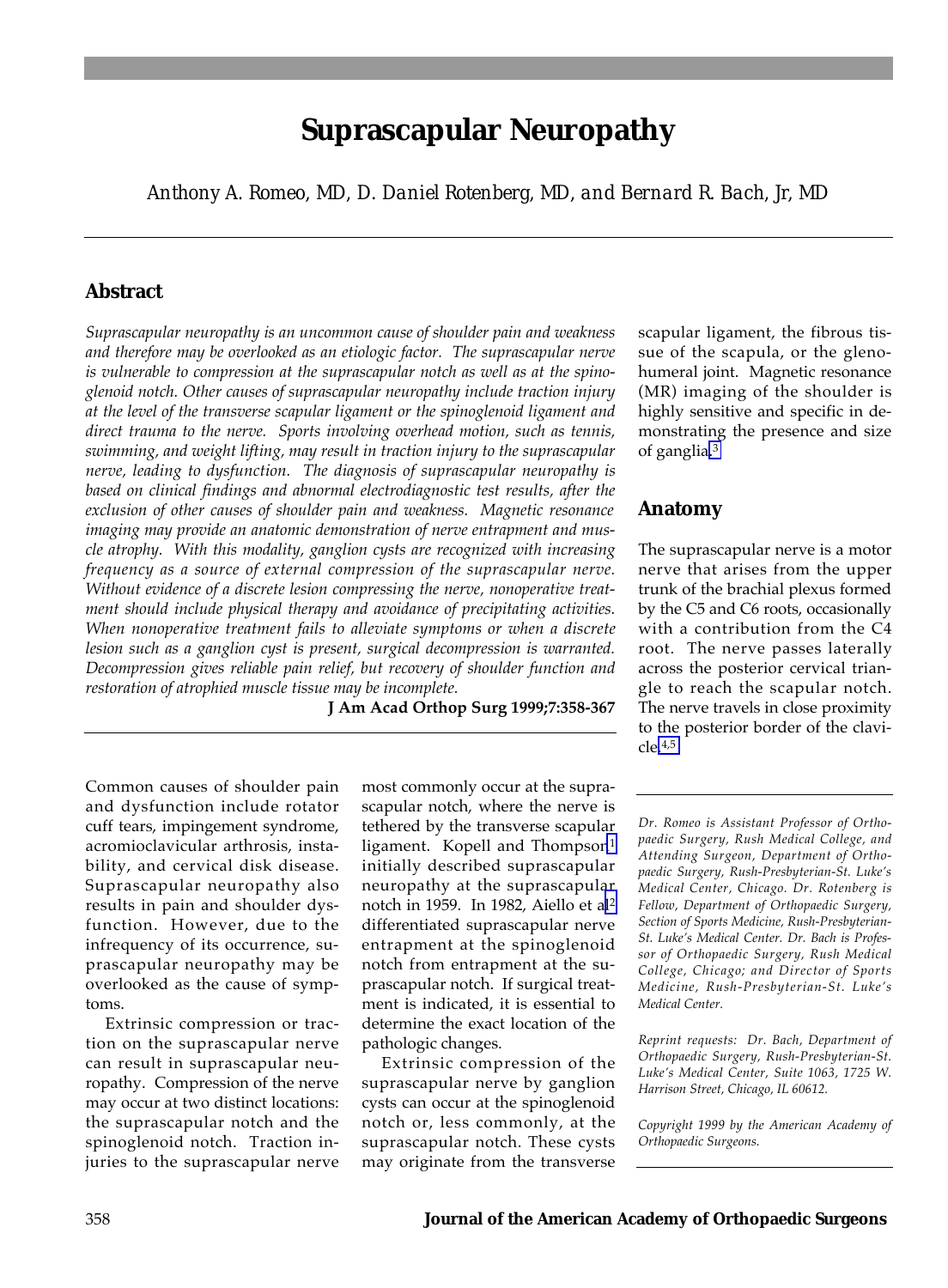# **Suprascapular Neuropathy**

*Anthony A. Romeo, MD, D. Daniel Rotenberg, MD, and Bernard R. Bach, Jr, MD*

# **Abstract**

*Suprascapular neuropathy is an uncommon cause of shoulder pain and weakness and therefore may be overlooked as an etiologic factor. The suprascapular nerve is vulnerable to compression at the suprascapular notch as well as at the spinoglenoid notch. Other causes of suprascapular neuropathy include traction injury at the level of the transverse scapular ligament or the spinoglenoid ligament and direct trauma to the nerve. Sports involving overhead motion, such as tennis, swimming, and weight lifting, may result in traction injury to the suprascapular nerve, leading to dysfunction. The diagnosis of suprascapular neuropathy is based on clinical findings and abnormal electrodiagnostic test results, after the exclusion of other causes of shoulder pain and weakness. Magnetic resonance imaging may provide an anatomic demonstration of nerve entrapment and muscle atrophy. With this modality, ganglion cysts are recognized with increasing frequency as a source of external compression of the suprascapular nerve. Without evidence of a discrete lesion compressing the nerve, nonoperative treatment should include physical therapy and avoidance of precipitating activities. When nonoperative treatment fails to alleviate symptoms or when a discrete lesion such as a ganglion cyst is present, surgical decompression is warranted. Decompression gives reliable pain relief, but recovery of shoulder function and restoration of atrophied muscle tissue may be incomplete.*

**J Am Acad Orthop Surg 1999;7:358-367**

Common causes of shoulder pain and dysfunction include rotator cuff tears, impingement syndrome, acromioclavicular arthrosis, instability, and cervical disk disease. Suprascapular neuropathy also results in pain and shoulder dysfunction. However, due to the infrequency of its occurrence, suprascapular neuropathy may be overlooked as the cause of symptoms.

Extrinsic compression or traction on the suprascapular nerve can result in suprascapular neuropathy. Compression of the nerve may occur at two distinct locations: the suprascapular notch and the spinoglenoid notch. Traction injuries to the suprascapular nerve most commonly occur at the suprascapular notch, where the nerve is tethered by the transverse scapular ligament. Kopell and Thompson<sup>1</sup> initially described suprascapular neuropathy at the suprascapular notch in 1959. In 1982, Aiello et a[l2](#page-9-0) differentiated suprascapular nerve entrapment at the spinoglenoid notch from entrapment at the suprascapular notch. If surgical treatment is indicated, it is essential to determine the exact location of the pathologic changes.

Extrinsic compression of the suprascapular nerve by ganglion cysts can occur at the spinoglenoid notch or, less commonly, at the suprascapular notch. These cysts may originate from the transverse

scapular ligament, the fibrous tissue of the scapula, or the glenohumeral joint. Magnetic resonance (MR) imaging of the shoulder is highly sensitive and specific in demonstrating the presence and size of ganglia[.3](#page-9-0)

## **Anatomy**

The suprascapular nerve is a motor nerve that arises from the upper trunk of the brachial plexus formed by the C5 and C6 roots, occasionally with a contribution from the C4 root. The nerve passes laterally across the posterior cervical triangle to reach the scapular notch. The nerve travels in close proximity to the posterior border of the clavicle[.4,5](#page-9-0)

*Dr. Romeo is Assistant Professor of Orthopaedic Surgery, Rush Medical College, and Attending Surgeon, Department of Orthopaedic Surgery, Rush-Presbyterian-St. Luke's Medical Center, Chicago. Dr. Rotenberg is Fellow, Department of Orthopaedic Surgery, Section of Sports Medicine, Rush-Presbyterian-St. Luke's Medical Center. Dr. Bach is Professor of Orthopaedic Surgery, Rush Medical College, Chicago; and Director of Sports Medicine, Rush-Presbyterian-St. Luke's Medical Center.* 

*Reprint requests: Dr. Bach, Department of Orthopaedic Surgery, Rush-Presbyterian-St. Luke's Medical Center, Suite 1063, 1725 W. Harrison Street, Chicago, IL 60612.*

*Copyright 1999 by the American Academy of Orthopaedic Surgeons.*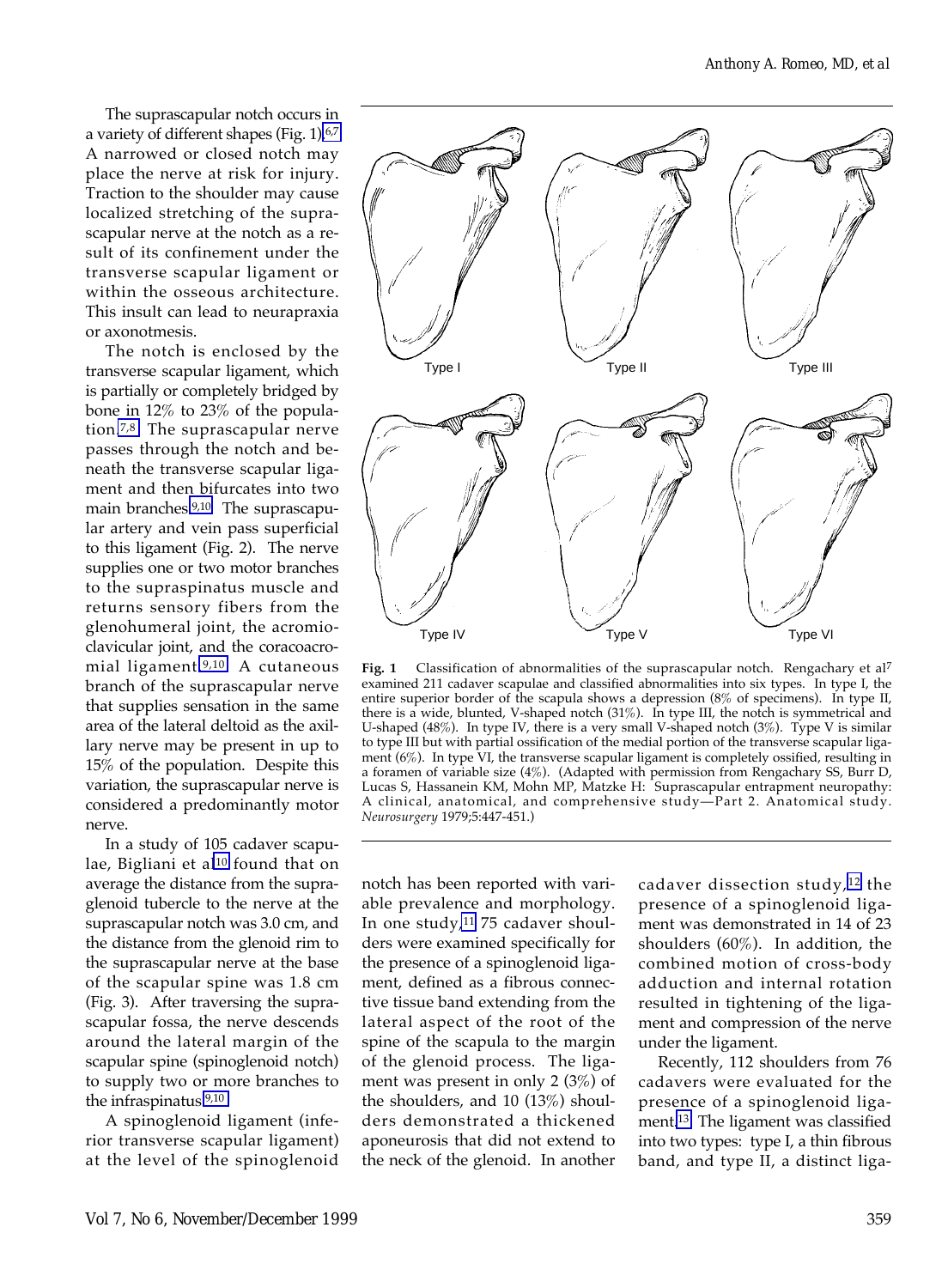The suprascapular notch occurs in a variety of different shapes (Fig. 1)[.6,7](#page-9-0) A narrowed or closed notch may place the nerve at risk for injury. Traction to the shoulder may cause localized stretching of the suprascapular nerve at the notch as a result of its confinement under the transverse scapular ligament or within the osseous architecture. This insult can lead to neurapraxia or axonotmesis.

The notch is enclosed by the transverse scapular ligament, which is partially or completely bridged by bone in 12% to 23% of the population[.7,8](#page-9-0) The suprascapular nerve passes through the notch and beneath the transverse scapular ligament and then bifurcates into two main branches[.9,10](#page-9-0) The suprascapular artery and vein pass superficial to this ligament (Fig. 2). The nerve supplies one or two motor branches to the supraspinatus muscle and returns sensory fibers from the glenohumeral joint, the acromioclavicular joint, and the coracoacromial ligament[.9,10](#page-9-0) A cutaneous branch of the suprascapular nerve that supplies sensation in the same area of the lateral deltoid as the axillary nerve may be present in up to 15% of the population. Despite this variation, the suprascapular nerve is considered a predominantly motor nerve.

In a study of 105 cadaver scapulae, Bigliani et al<sup>10</sup> found that on average the distance from the supraglenoid tubercle to the nerve at the suprascapular notch was 3.0 cm, and the distance from the glenoid rim to the suprascapular nerve at the base of the scapular spine was 1.8 cm (Fig. 3). After traversing the suprascapular fossa, the nerve descends around the lateral margin of the scapular spine (spinoglenoid notch) to supply two or more branches to the infraspinatus[.9,10](#page-9-0)

A spinoglenoid ligament (inferior transverse scapular ligament) at the level of the spinoglenoid



Fig. 1 Classification of abnormalities of the suprascapular notch. Rengachary et al<sup>7</sup> examined 211 cadaver scapulae and classified abnormalities into six types. In type I, the entire superior border of the scapula shows a depression (8% of specimens). In type II, there is a wide, blunted, V-shaped notch (31%). In type III, the notch is symmetrical and U-shaped (48%). In type IV, there is a very small V-shaped notch (3%). Type V is similar to type III but with partial ossification of the medial portion of the transverse scapular ligament (6%). In type VI, the transverse scapular ligament is completely ossified, resulting in a foramen of variable size (4%). (Adapted with permission from Rengachary SS, Burr D, Lucas S, Hassanein KM, Mohn MP, Matzke H: Suprascapular entrapment neuropathy: A clinical, anatomical, and comprehensive study—Part 2. Anatomical study. *Neurosurgery* 1979;5:447-451.)

notch has been reported with variable prevalence and morphology. In one study, $11$  75 cadaver shoulders were examined specifically for the presence of a spinoglenoid ligament, defined as a fibrous connective tissue band extending from the lateral aspect of the root of the spine of the scapula to the margin of the glenoid process. The ligament was present in only 2 (3%) of the shoulders, and 10 (13%) shoulders demonstrated a thickened aponeurosis that did not extend to the neck of the glenoid. In another

cadaver dissection study,[12](#page-9-0) the presence of a spinoglenoid ligament was demonstrated in 14 of 23 shoulders (60%). In addition, the combined motion of cross-body adduction and internal rotation resulted in tightening of the ligament and compression of the nerve under the ligament.

Recently, 112 shoulders from 76 cadavers were evaluated for the presence of a spinoglenoid ligament[.13](#page-9-0) The ligament was classified into two types: type I, a thin fibrous band, and type II, a distinct liga-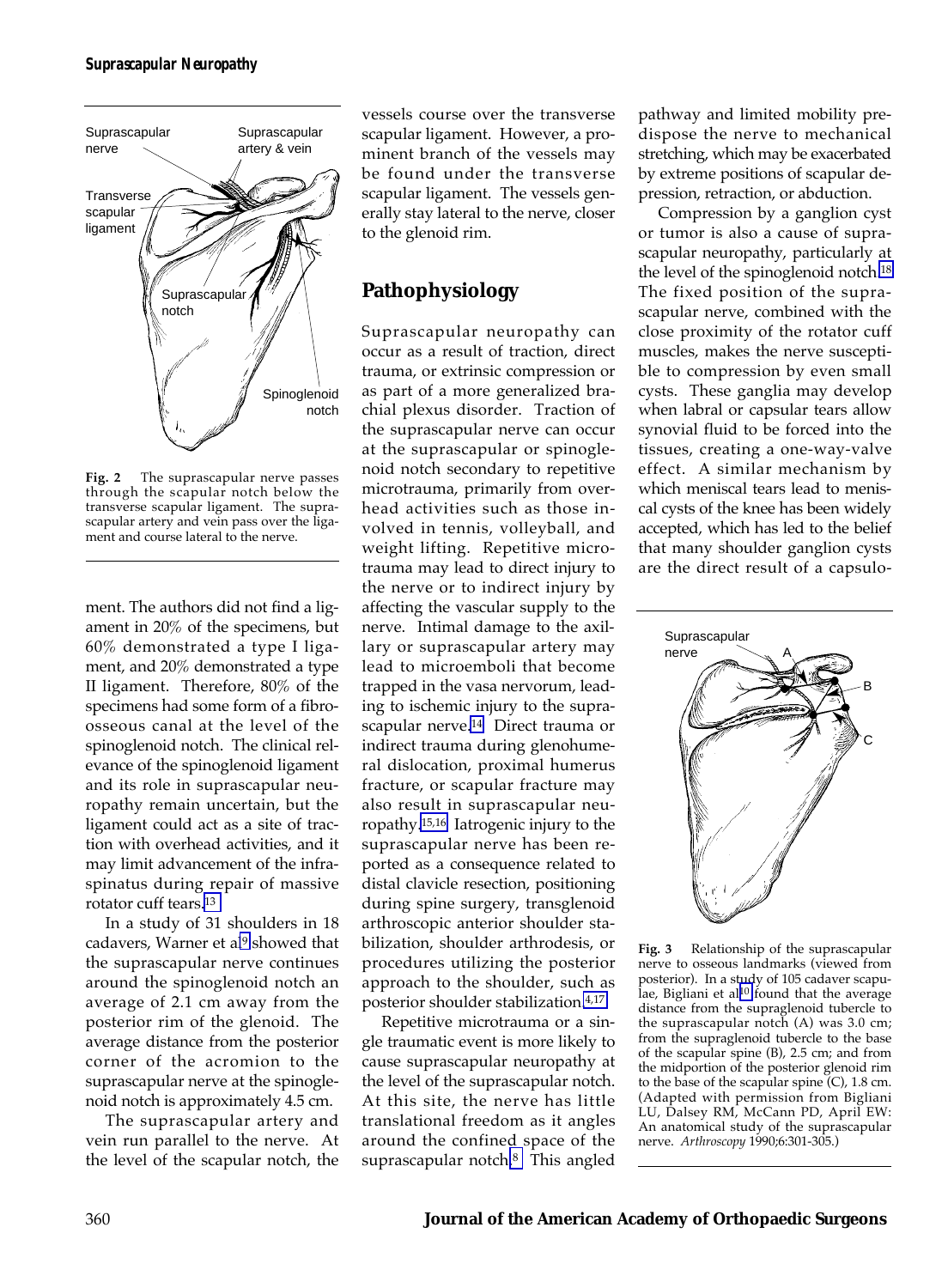

**Fig. 2** The suprascapular nerve passes through the scapular notch below the transverse scapular ligament. The suprascapular artery and vein pass over the ligament and course lateral to the nerve.

ment. The authors did not find a ligament in 20% of the specimens, but 60% demonstrated a type I ligament, and 20% demonstrated a type II ligament. Therefore, 80% of the specimens had some form of a fibroosseous canal at the level of the spinoglenoid notch. The clinical relevance of the spinoglenoid ligament and its role in suprascapular neuropathy remain uncertain, but the ligament could act as a site of traction with overhead activities, and it may limit advancement of the infraspinatus during repair of massive rotator cuff tears[.13](#page-9-0)

In a study of 31 shoulders in 18 cadavers, Warner et al<sup>9</sup> showed that the suprascapular nerve continues around the spinoglenoid notch an average of 2.1 cm away from the posterior rim of the glenoid. The average distance from the posterior corner of the acromion to the suprascapular nerve at the spinoglenoid notch is approximately 4.5 cm.

The suprascapular artery and vein run parallel to the nerve. At the level of the scapular notch, the

vessels course over the transverse scapular ligament. However, a prominent branch of the vessels may be found under the transverse scapular ligament. The vessels generally stay lateral to the nerve, closer to the glenoid rim.

# **Pathophysiology**

Suprascapular neuropathy can occur as a result of traction, direct trauma, or extrinsic compression or as part of a more generalized brachial plexus disorder. Traction of the suprascapular nerve can occur at the suprascapular or spinoglenoid notch secondary to repetitive microtrauma, primarily from overhead activities such as those involved in tennis, volleyball, and weight lifting. Repetitive microtrauma may lead to direct injury to the nerve or to indirect injury by affecting the vascular supply to the nerve. Intimal damage to the axillary or suprascapular artery may lead to microemboli that become trapped in the vasa nervorum, leading to ischemic injury to the suprascapular nerve.<sup>14</sup> Direct trauma or indirect trauma during glenohumeral dislocation, proximal humerus fracture, or scapular fracture may also result in suprascapular neuropathy[.15,16](#page-9-0) Iatrogenic injury to the suprascapular nerve has been reported as a consequence related to distal clavicle resection, positioning during spine surgery, transglenoid arthroscopic anterior shoulder stabilization, shoulder arthrodesis, or procedures utilizing the posterior approach to the shoulder, such as posterior shoulder stabilization[.4,17](#page-9-0)

Repetitive microtrauma or a single traumatic event is more likely to cause suprascapular neuropathy at the level of the suprascapular notch. At this site, the nerve has little translational freedom as it angles around the confined space of the suprascapular notch.<sup>8</sup> This angled pathway and limited mobility predispose the nerve to mechanical stretching, which may be exacerbated by extreme positions of scapular depression, retraction, or abduction.

Compression by a ganglion cyst or tumor is also a cause of suprascapular neuropathy, particularly at the level of the spinoglenoid notch[.18](#page-9-0) The fixed position of the suprascapular nerve, combined with the close proximity of the rotator cuff muscles, makes the nerve susceptible to compression by even small cysts. These ganglia may develop when labral or capsular tears allow synovial fluid to be forced into the tissues, creating a one-way-valve effect. A similar mechanism by which meniscal tears lead to meniscal cysts of the knee has been widely accepted, which has led to the belief that many shoulder ganglion cysts are the direct result of a capsulo-



**Fig. 3** Relationship of the suprascapular nerve to osseous landmarks (viewed from posterior). In a study of 105 cadaver scapu-lae, Bigliani et al<sup>[10](#page-9-0)</sup> found that the average distance from the supraglenoid tubercle to the suprascapular notch (A) was 3.0 cm; from the supraglenoid tubercle to the base of the scapular spine (B), 2.5 cm; and from the midportion of the posterior glenoid rim to the base of the scapular spine (C), 1.8 cm. (Adapted with permission from Bigliani LU, Dalsey RM, McCann PD, April EW: An anatomical study of the suprascapular nerve. *Arthroscopy* 1990;6:301-305.)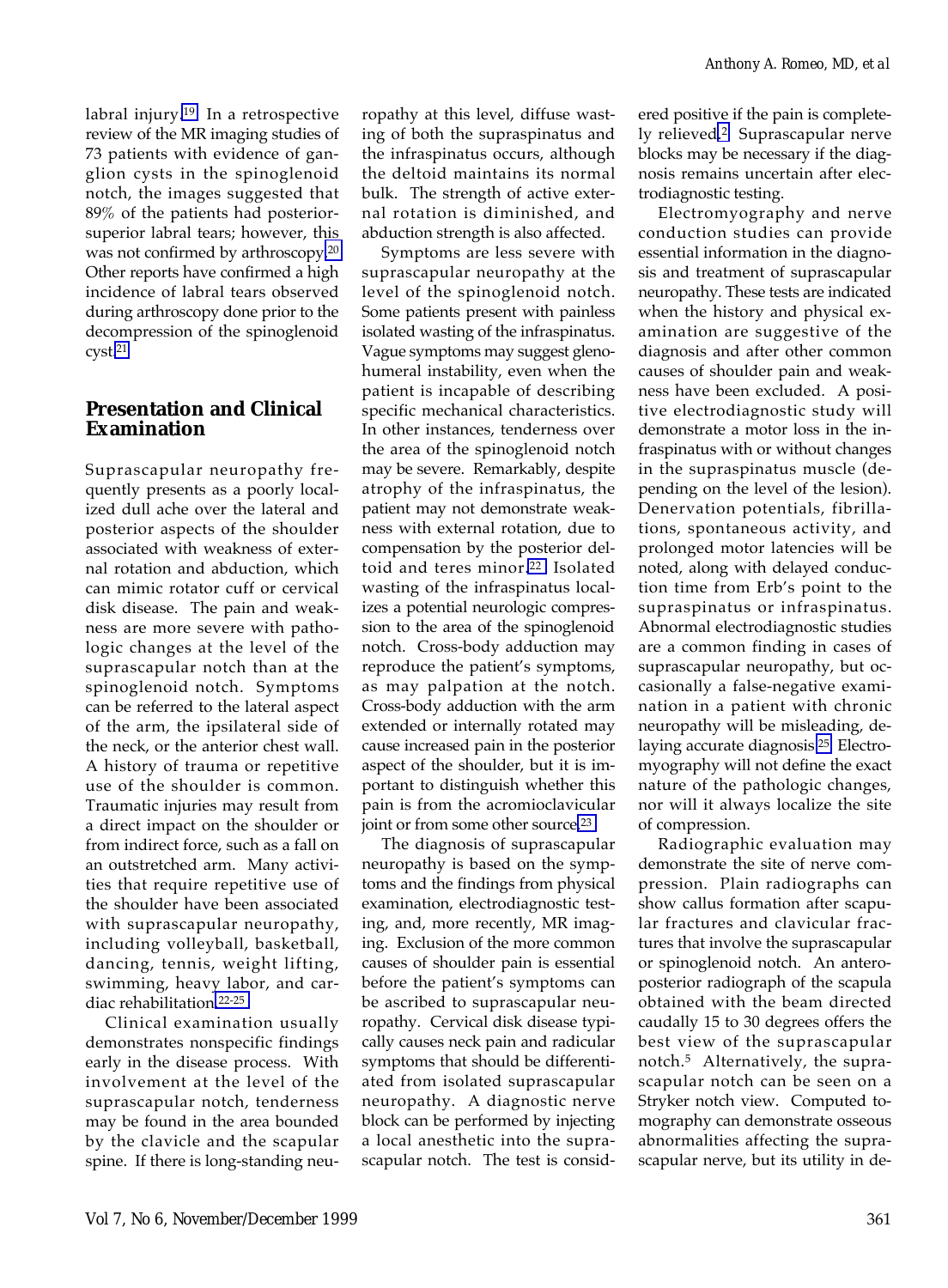labral injury[.19](#page-9-0) In a retrospective review of the MR imaging studies of 73 patients with evidence of ganglion cysts in the spinoglenoid notch, the images suggested that 89% of the patients had posteriorsuperior labral tears; however, this was not confirmed by arthroscopy[.20](#page-9-0) Other reports have confirmed a high incidence of labral tears observed during arthroscopy done prior to the decompression of the spinoglenoid cyst[.21](#page-9-0)

## **Presentation and Clinical Examination**

Suprascapular neuropathy frequently presents as a poorly localized dull ache over the lateral and posterior aspects of the shoulder associated with weakness of external rotation and abduction, which can mimic rotator cuff or cervical disk disease. The pain and weakness are more severe with pathologic changes at the level of the suprascapular notch than at the spinoglenoid notch. Symptoms can be referred to the lateral aspect of the arm, the ipsilateral side of the neck, or the anterior chest wall. A history of trauma or repetitive use of the shoulder is common. Traumatic injuries may result from a direct impact on the shoulder or from indirect force, such as a fall on an outstretched arm. Many activities that require repetitive use of the shoulder have been associated with suprascapular neuropathy, including volleyball, basketball, dancing, tennis, weight lifting, swimming, heavy labor, and cardiac rehabilitation[.22-25](#page-9-0)

Clinical examination usually demonstrates nonspecific findings early in the disease process. With involvement at the level of the suprascapular notch, tenderness may be found in the area bounded by the clavicle and the scapular spine. If there is long-standing neuropathy at this level, diffuse wasting of both the supraspinatus and the infraspinatus occurs, although the deltoid maintains its normal bulk. The strength of active external rotation is diminished, and abduction strength is also affected.

Symptoms are less severe with suprascapular neuropathy at the level of the spinoglenoid notch. Some patients present with painless isolated wasting of the infraspinatus. Vague symptoms may suggest glenohumeral instability, even when the patient is incapable of describing specific mechanical characteristics. In other instances, tenderness over the area of the spinoglenoid notch may be severe. Remarkably, despite atrophy of the infraspinatus, the patient may not demonstrate weakness with external rotation, due to compensation by the posterior deltoid and teres minor.<sup>22</sup> Isolated wasting of the infraspinatus localizes a potential neurologic compression to the area of the spinoglenoid notch. Cross-body adduction may reproduce the patient's symptoms, as may palpation at the notch. Cross-body adduction with the arm extended or internally rotated may cause increased pain in the posterior aspect of the shoulder, but it is important to distinguish whether this pain is from the acromioclavicular joint or from some other source.<sup>23</sup>

The diagnosis of suprascapular neuropathy is based on the symptoms and the findings from physical examination, electrodiagnostic testing, and, more recently, MR imaging. Exclusion of the more common causes of shoulder pain is essential before the patient's symptoms can be ascribed to suprascapular neuropathy. Cervical disk disease typically causes neck pain and radicular symptoms that should be differentiated from isolated suprascapular neuropathy. A diagnostic nerve block can be performed by injecting a local anesthetic into the suprascapular notch. The test is considered positive if the pain is completely relieve[d.2](#page-9-0) Suprascapular nerve blocks may be necessary if the diagnosis remains uncertain after electrodiagnostic testing.

Electromyography and nerve conduction studies can provide essential information in the diagnosis and treatment of suprascapular neuropathy. These tests are indicated when the history and physical examination are suggestive of the diagnosis and after other common causes of shoulder pain and weakness have been excluded. A positive electrodiagnostic study will demonstrate a motor loss in the infraspinatus with or without changes in the supraspinatus muscle (depending on the level of the lesion). Denervation potentials, fibrillations, spontaneous activity, and prolonged motor latencies will be noted, along with delayed conduction time from Erb's point to the supraspinatus or infraspinatus. Abnormal electrodiagnostic studies are a common finding in cases of suprascapular neuropathy, but occasionally a false-negative examination in a patient with chronic neuropathy will be misleading, delaying accurate diagnosis[.25](#page-9-0) Electromyography will not define the exact nature of the pathologic changes, nor will it always localize the site of compression.

Radiographic evaluation may demonstrate the site of nerve compression. Plain radiographs can show callus formation after scapular fractures and clavicular fractures that involve the suprascapular or spinoglenoid notch. An anteroposterior radiograph of the scapula obtained with the beam directed caudally 15 to 30 degrees offers the best view of the suprascapular notch.5 Alternatively, the suprascapular notch can be seen on a Stryker notch view. Computed tomography can demonstrate osseous abnormalities affecting the suprascapular nerve, but its utility in de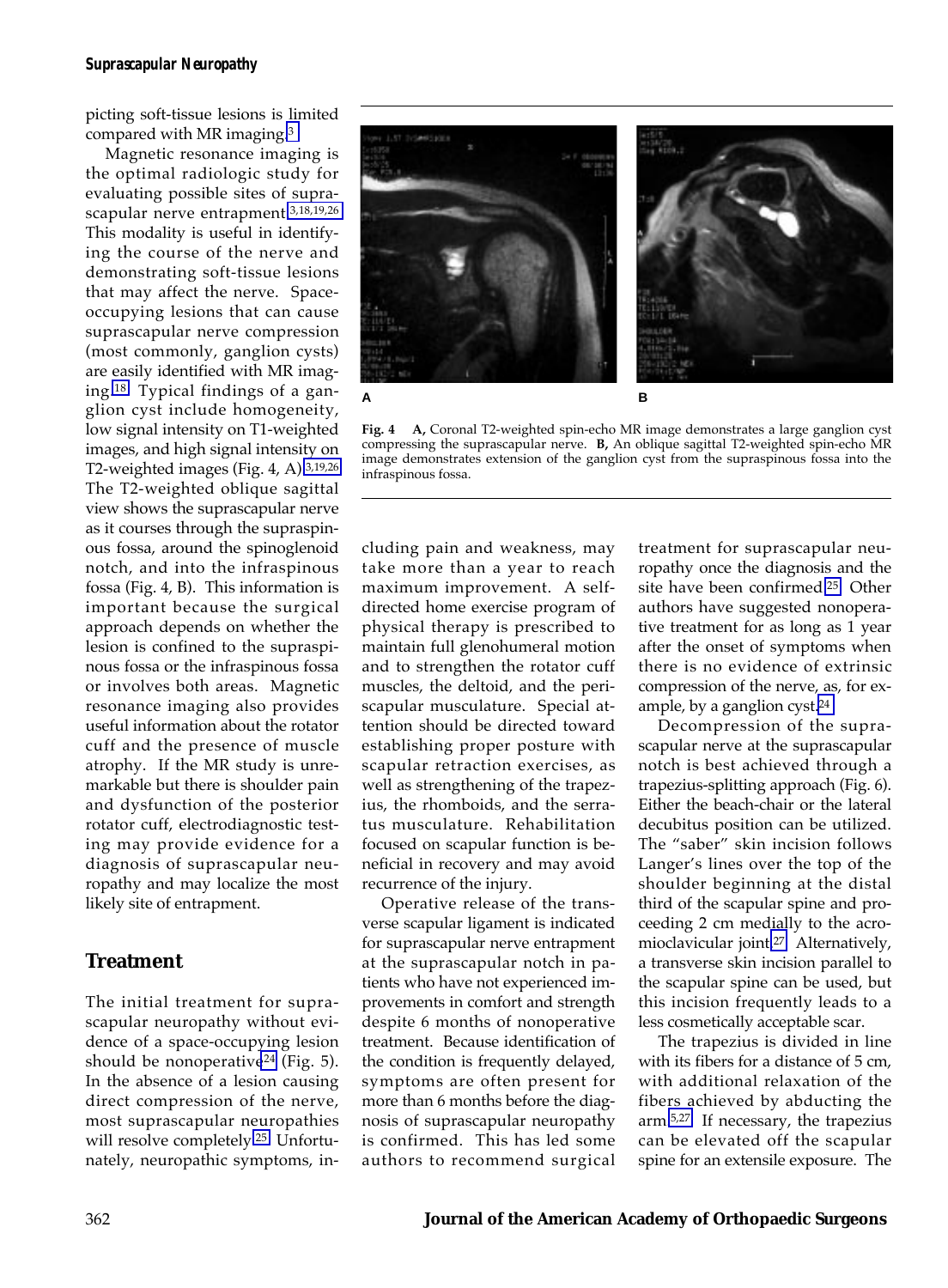picting soft-tissue lesions is limited compared with MR imaging[.3](#page-9-0)

Magnetic resonance imaging is the optimal radiologic study for evaluating possible sites of suprascapular nerve entrapment[.3,18,19,26](#page-9-0) This modality is useful in identifying the course of the nerve and demonstrating soft-tissue lesions that may affect the nerve. Spaceoccupying lesions that can cause suprascapular nerve compression (most commonly, ganglion cysts) are easily identified with MR imaging[.18](#page-9-0) Typical findings of a ganglion cyst include homogeneity, low signal intensity on T1-weighted images, and high signal intensity on T2-weighted images (Fig. 4, A)[.3,19,26](#page-9-0) The T2-weighted oblique sagittal view shows the suprascapular nerve as it courses through the supraspinous fossa, around the spinoglenoid notch, and into the infraspinous fossa (Fig. 4, B). This information is important because the surgical approach depends on whether the lesion is confined to the supraspinous fossa or the infraspinous fossa or involves both areas. Magnetic resonance imaging also provides useful information about the rotator cuff and the presence of muscle atrophy. If the MR study is unremarkable but there is shoulder pain and dysfunction of the posterior rotator cuff, electrodiagnostic testing may provide evidence for a diagnosis of suprascapular neuropathy and may localize the most likely site of entrapment.

## **Treatment**

The initial treatment for suprascapular neuropathy without evidence of a space-occupying lesion should be nonoperative<sup>24</sup> (Fig. 5). In the absence of a lesion causing direct compression of the nerve, most suprascapular neuropathies will resolve completely.<sup>25</sup> Unfortunately, neuropathic symptoms, in-



**Fig. 4 A,** Coronal T2-weighted spin-echo MR image demonstrates a large ganglion cyst compressing the suprascapular nerve. **B,** An oblique sagittal T2-weighted spin-echo MR image demonstrates extension of the ganglion cyst from the supraspinous fossa into the infraspinous fossa.

cluding pain and weakness, may take more than a year to reach maximum improvement. A selfdirected home exercise program of physical therapy is prescribed to maintain full glenohumeral motion and to strengthen the rotator cuff muscles, the deltoid, and the periscapular musculature. Special attention should be directed toward establishing proper posture with scapular retraction exercises, as well as strengthening of the trapezius, the rhomboids, and the serratus musculature. Rehabilitation focused on scapular function is beneficial in recovery and may avoid recurrence of the injury.

Operative release of the transverse scapular ligament is indicated for suprascapular nerve entrapment at the suprascapular notch in patients who have not experienced improvements in comfort and strength despite 6 months of nonoperative treatment. Because identification of the condition is frequently delayed, symptoms are often present for more than 6 months before the diagnosis of suprascapular neuropathy is confirmed. This has led some authors to recommend surgical

treatment for suprascapular neuropathy once the diagnosis and the site have been confirmed[.25](#page-9-0) Other authors have suggested nonoperative treatment for as long as 1 year after the onset of symptoms when there is no evidence of extrinsic compression of the nerve, as, for example, by a ganglion cyst.[24](#page-9-0)

Decompression of the suprascapular nerve at the suprascapular notch is best achieved through a trapezius-splitting approach (Fig. 6). Either the beach-chair or the lateral decubitus position can be utilized. The "saber" skin incision follows Langer's lines over the top of the shoulder beginning at the distal third of the scapular spine and proceeding 2 cm medially to the acromioclavicular joint[.27](#page-9-0) Alternatively, a transverse skin incision parallel to the scapular spine can be used, but this incision frequently leads to a less cosmetically acceptable scar.

The trapezius is divided in line with its fibers for a distance of 5 cm, with additional relaxation of the fibers achieved by abducting the arm[.5,27](#page-9-0) If necessary, the trapezius can be elevated off the scapular spine for an extensile exposure. The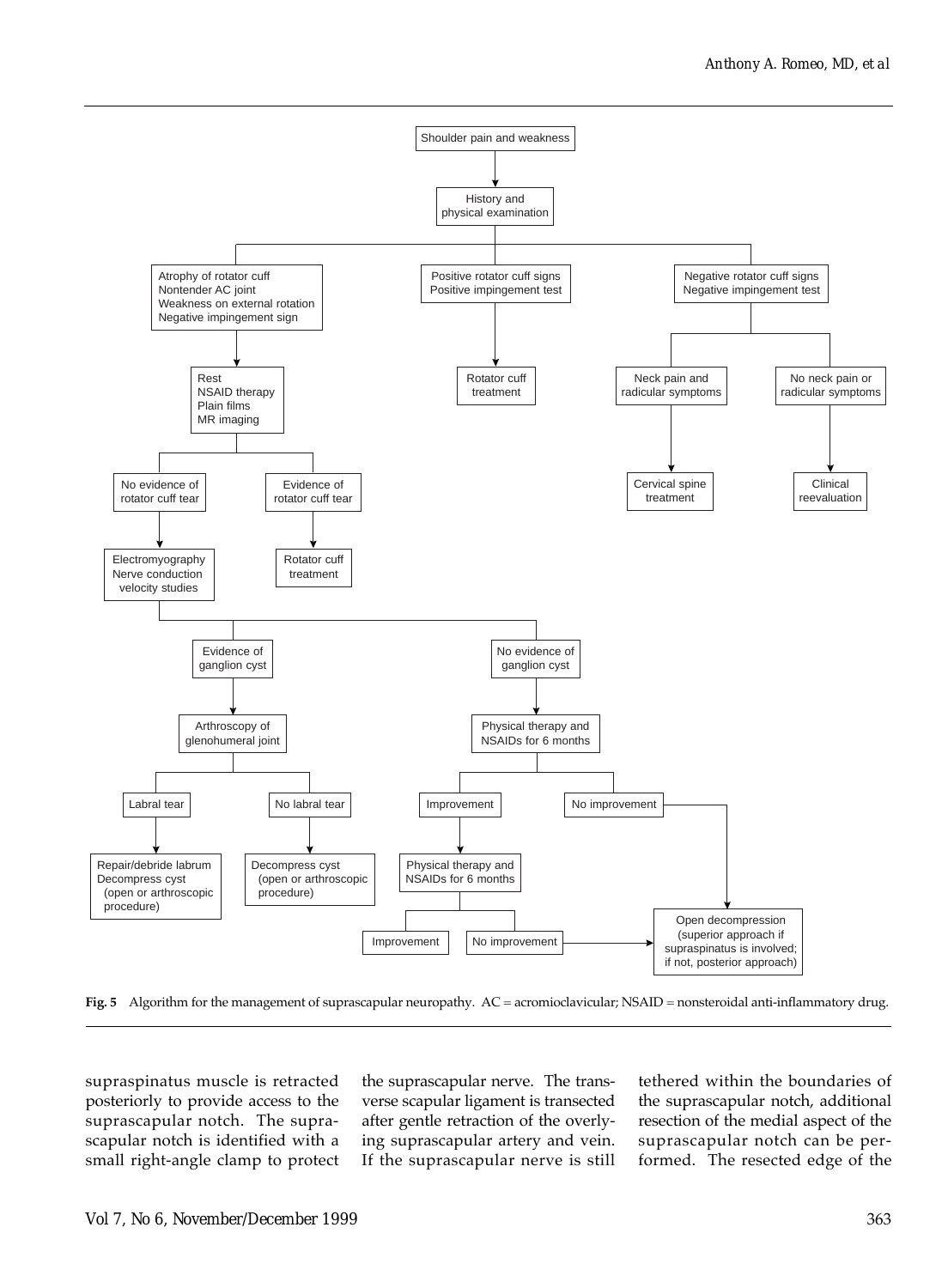

**Fig. 5** Algorithm for the management of suprascapular neuropathy. AC = acromioclavicular; NSAID = nonsteroidal anti-inflammatory drug.

supraspinatus muscle is retracted posteriorly to provide access to the suprascapular notch. The suprascapular notch is identified with a small right-angle clamp to protect

the suprascapular nerve. The transverse scapular ligament is transected after gentle retraction of the overlying suprascapular artery and vein. If the suprascapular nerve is still tethered within the boundaries of the suprascapular notch, additional resection of the medial aspect of the suprascapular notch can be performed. The resected edge of the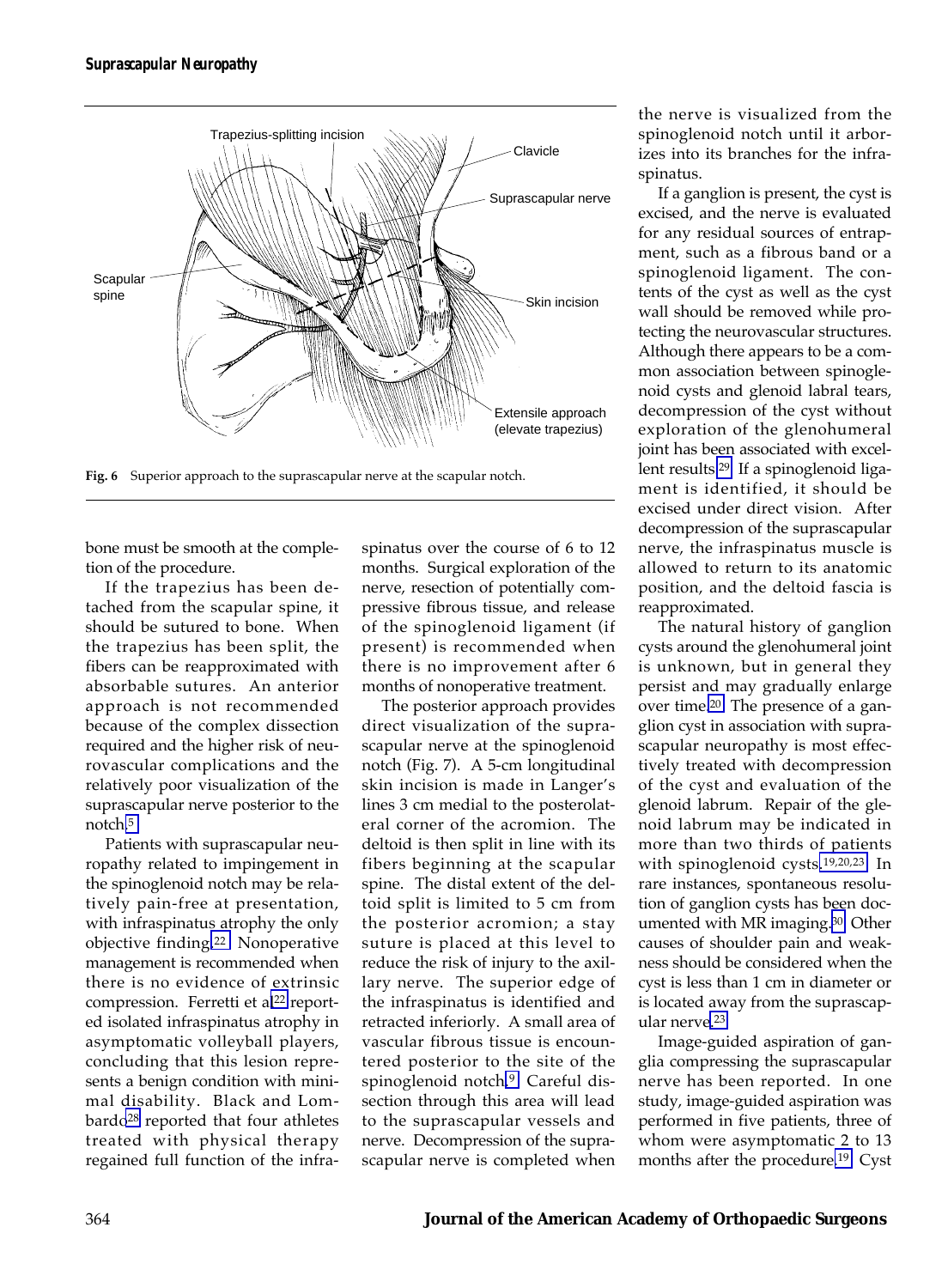

**Fig. 6** Superior approach to the suprascapular nerve at the scapular notch.

bone must be smooth at the completion of the procedure.

If the trapezius has been detached from the scapular spine, it should be sutured to bone. When the trapezius has been split, the fibers can be reapproximated with absorbable sutures. An anterior approach is not recommended because of the complex dissection required and the higher risk of neurovascular complications and the relatively poor visualization of the suprascapular nerve posterior to the notch[.5](#page-9-0)

Patients with suprascapular neuropathy related to impingement in the spinoglenoid notch may be relatively pain-free at presentation, with infraspinatus atrophy the only objective finding[.22](#page-9-0) Nonoperative management is recommended when there is no evidence of extrinsic compression. Ferretti et al<sup>22</sup> reported isolated infraspinatus atrophy in asymptomatic volleyball players, concluding that this lesion represents a benign condition with minimal disability. Black and Lombardo<sup>28</sup> reported that four athletes treated with physical therapy regained full function of the infraspinatus over the course of 6 to 12 months. Surgical exploration of the nerve, resection of potentially compressive fibrous tissue, and release of the spinoglenoid ligament (if present) is recommended when there is no improvement after 6 months of nonoperative treatment.

The posterior approach provides direct visualization of the suprascapular nerve at the spinoglenoid notch (Fig. 7). A 5-cm longitudinal skin incision is made in Langer's lines 3 cm medial to the posterolateral corner of the acromion. The deltoid is then split in line with its fibers beginning at the scapular spine. The distal extent of the deltoid split is limited to 5 cm from the posterior acromion; a stay suture is placed at this level to reduce the risk of injury to the axillary nerve. The superior edge of the infraspinatus is identified and retracted inferiorly. A small area of vascular fibrous tissue is encountered posterior to the site of the spinoglenoid notch[.9](#page-9-0) Careful dissection through this area will lead to the suprascapular vessels and nerve. Decompression of the suprascapular nerve is completed when

the nerve is visualized from the spinoglenoid notch until it arborizes into its branches for the infraspinatus.

If a ganglion is present, the cyst is excised, and the nerve is evaluated for any residual sources of entrapment, such as a fibrous band or a spinoglenoid ligament. The contents of the cyst as well as the cyst wall should be removed while protecting the neurovascular structures. Although there appears to be a common association between spinoglenoid cysts and glenoid labral tears, decompression of the cyst without exploration of the glenohumeral joint has been associated with excellent results[.29](#page-9-0) If a spinoglenoid ligament is identified, it should be excised under direct vision. After decompression of the suprascapular nerve, the infraspinatus muscle is allowed to return to its anatomic position, and the deltoid fascia is reapproximated.

The natural history of ganglion cysts around the glenohumeral joint is unknown, but in general they persist and may gradually enlarge over time[.20](#page-9-0) The presence of a ganglion cyst in association with suprascapular neuropathy is most effectively treated with decompression of the cyst and evaluation of the glenoid labrum. Repair of the glenoid labrum may be indicated in more than two thirds of patients with spinoglenoid cysts[.19,20,23](#page-9-0) In rare instances, spontaneous resolution of ganglion cysts has been documented with MR imaging.[30](#page-9-0) Other causes of shoulder pain and weakness should be considered when the cyst is less than 1 cm in diameter or is located away from the suprascapular nerve[.23](#page-9-0)

Image-guided aspiration of ganglia compressing the suprascapular nerve has been reported. In one study, image-guided aspiration was performed in five patients, three of whom were asymptomatic 2 to 13 months after the procedure[.19](#page-9-0) Cyst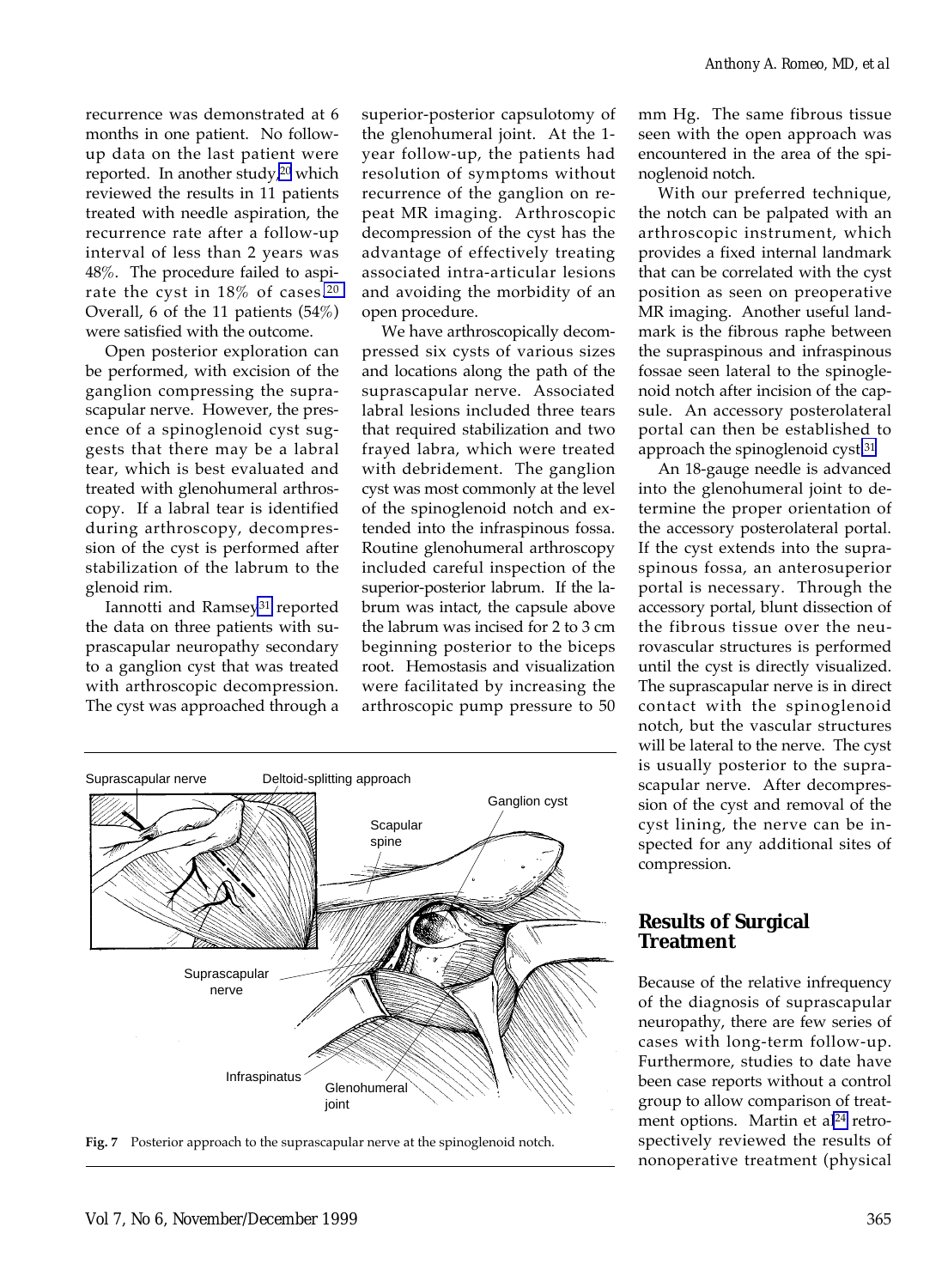recurrence was demonstrated at 6 months in one patient. No followup data on the last patient were reported. In another study, $20$  which reviewed the results in 11 patients treated with needle aspiration, the recurrence rate after a follow-up interval of less than 2 years was 48%. The procedure failed to aspirate the cyst in 18% of cases[.20](#page-9-0) Overall, 6 of the 11 patients (54%) were satisfied with the outcome.

Open posterior exploration can be performed, with excision of the ganglion compressing the suprascapular nerve. However, the presence of a spinoglenoid cyst suggests that there may be a labral tear, which is best evaluated and treated with glenohumeral arthroscopy. If a labral tear is identified during arthroscopy, decompression of the cyst is performed after stabilization of the labrum to the glenoid rim.

Iannotti and Ramsey<sup>31</sup> reported the data on three patients with suprascapular neuropathy secondary to a ganglion cyst that was treated with arthroscopic decompression. The cyst was approached through a superior-posterior capsulotomy of the glenohumeral joint. At the 1 year follow-up, the patients had resolution of symptoms without recurrence of the ganglion on repeat MR imaging. Arthroscopic decompression of the cyst has the advantage of effectively treating associated intra-articular lesions and avoiding the morbidity of an open procedure.

We have arthroscopically decompressed six cysts of various sizes and locations along the path of the suprascapular nerve. Associated labral lesions included three tears that required stabilization and two frayed labra, which were treated with debridement. The ganglion cyst was most commonly at the level of the spinoglenoid notch and extended into the infraspinous fossa. Routine glenohumeral arthroscopy included careful inspection of the superior-posterior labrum. If the labrum was intact, the capsule above the labrum was incised for 2 to 3 cm beginning posterior to the biceps root. Hemostasis and visualization were facilitated by increasing the arthroscopic pump pressure to 50



**Fig. 7** Posterior approach to the suprascapular nerve at the spinoglenoid notch.

mm Hg. The same fibrous tissue seen with the open approach was encountered in the area of the spinoglenoid notch.

With our preferred technique, the notch can be palpated with an arthroscopic instrument, which provides a fixed internal landmark that can be correlated with the cyst position as seen on preoperative MR imaging. Another useful landmark is the fibrous raphe between the supraspinous and infraspinous fossae seen lateral to the spinoglenoid notch after incision of the capsule. An accessory posterolateral portal can then be established to approach the spinoglenoid cyst[.31](#page-9-0)

An 18-gauge needle is advanced into the glenohumeral joint to determine the proper orientation of the accessory posterolateral portal. If the cyst extends into the supraspinous fossa, an anterosuperior portal is necessary. Through the accessory portal, blunt dissection of the fibrous tissue over the neurovascular structures is performed until the cyst is directly visualized. The suprascapular nerve is in direct contact with the spinoglenoid notch, but the vascular structures will be lateral to the nerve. The cyst is usually posterior to the suprascapular nerve. After decompression of the cyst and removal of the cyst lining, the nerve can be inspected for any additional sites of compression.

## **Results of Surgical Treatment**

Because of the relative infrequency of the diagnosis of suprascapular neuropathy, there are few series of cases with long-term follow-up. Furthermore, studies to date have been case reports without a control group to allow comparison of treatment options. Martin et al<sup>24</sup> retrospectively reviewed the results of nonoperative treatment (physical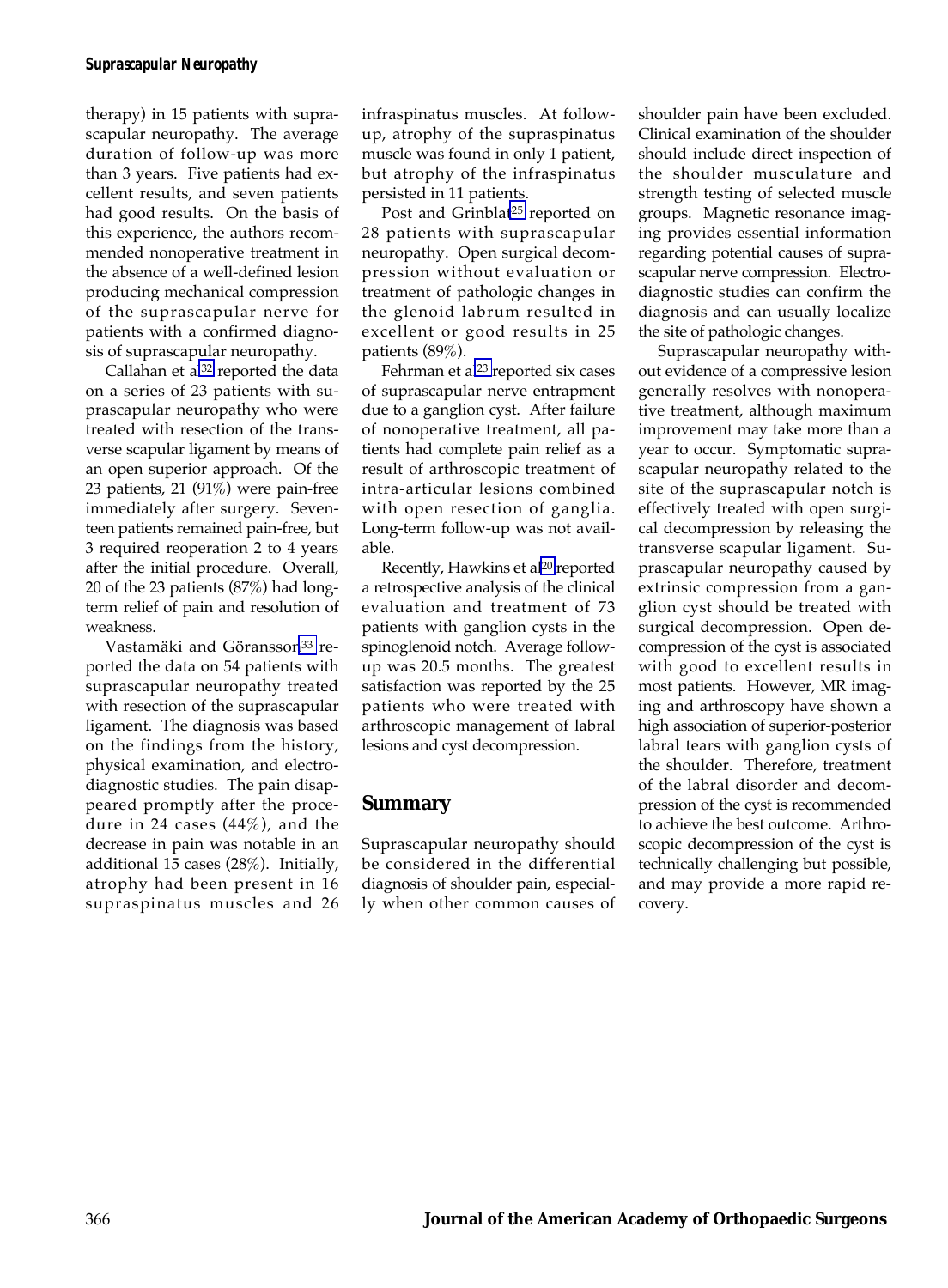#### *Suprascapular Neuropathy*

therapy) in 15 patients with suprascapular neuropathy. The average duration of follow-up was more than 3 years. Five patients had excellent results, and seven patients had good results. On the basis of this experience, the authors recommended nonoperative treatment in the absence of a well-defined lesion producing mechanical compression of the suprascapular nerve for patients with a confirmed diagnosis of suprascapular neuropathy.

Callahan et al<sup>32</sup> reported the data on a series of 23 patients with suprascapular neuropathy who were treated with resection of the transverse scapular ligament by means of an open superior approach. Of the 23 patients, 21 (91%) were pain-free immediately after surgery. Seventeen patients remained pain-free, but 3 required reoperation 2 to 4 years after the initial procedure. Overall, 20 of the 23 patients (87%) had longterm relief of pain and resolution of weakness.

Vastamäki and Göransson<sup>33</sup> reported the data on 54 patients with suprascapular neuropathy treated with resection of the suprascapular ligament. The diagnosis was based on the findings from the history, physical examination, and electrodiagnostic studies. The pain disappeared promptly after the procedure in 24 cases (44%), and the decrease in pain was notable in an additional 15 cases (28%). Initially, atrophy had been present in 16 supraspinatus muscles and 26 infraspinatus muscles. At followup, atrophy of the supraspinatus muscle was found in only 1 patient, but atrophy of the infraspinatus persisted in 11 patients.

Post and Grinblat<sup>25</sup> reported on 28 patients with suprascapular neuropathy. Open surgical decompression without evaluation or treatment of pathologic changes in the glenoid labrum resulted in excellent or good results in 25 patients (89%).

Fehrman et al<sup>23</sup> reported six cases of suprascapular nerve entrapment due to a ganglion cyst. After failure of nonoperative treatment, all patients had complete pain relief as a result of arthroscopic treatment of intra-articular lesions combined with open resection of ganglia. Long-term follow-up was not available.

Recently, Hawkins et al<sup>20</sup> reported a retrospective analysis of the clinical evaluation and treatment of 73 patients with ganglion cysts in the spinoglenoid notch. Average followup was 20.5 months. The greatest satisfaction was reported by the 25 patients who were treated with arthroscopic management of labral lesions and cyst decompression.

#### **Summary**

Suprascapular neuropathy should be considered in the differential diagnosis of shoulder pain, especially when other common causes of

shoulder pain have been excluded. Clinical examination of the shoulder should include direct inspection of the shoulder musculature and strength testing of selected muscle groups. Magnetic resonance imaging provides essential information regarding potential causes of suprascapular nerve compression. Electrodiagnostic studies can confirm the diagnosis and can usually localize the site of pathologic changes.

Suprascapular neuropathy without evidence of a compressive lesion generally resolves with nonoperative treatment, although maximum improvement may take more than a year to occur. Symptomatic suprascapular neuropathy related to the site of the suprascapular notch is effectively treated with open surgical decompression by releasing the transverse scapular ligament. Suprascapular neuropathy caused by extrinsic compression from a ganglion cyst should be treated with surgical decompression. Open decompression of the cyst is associated with good to excellent results in most patients. However, MR imaging and arthroscopy have shown a high association of superior-posterior labral tears with ganglion cysts of the shoulder. Therefore, treatment of the labral disorder and decompression of the cyst is recommended to achieve the best outcome. Arthroscopic decompression of the cyst is technically challenging but possible, and may provide a more rapid recovery.